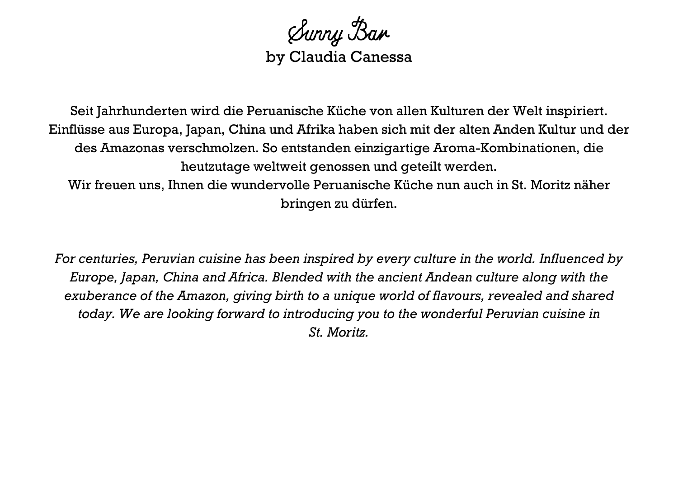Sunny Ban by Claudia Canessa

Seit Jahrhunderten wird die Peruanische Küche von allen Kulturen der Welt inspiriert. Einflüsse aus Europa, Japan, China und Afrika haben sich mit der alten Anden Kultur und der des Amazonas verschmolzen. So entstanden einzigartige Aroma-Kombinationen, die heutzutage weltweit genossen und geteilt werden. Wir freuen uns, Ihnen die wundervolle Peruanische Küche nun auch in St. Moritz näher bringen zu dürfen.

*For centuries, Peruvian cuisine has been inspired by every culture in the world. Influenced by Europe, Japan, China and Africa. Blended with the ancient Andean culture along with the exuberance of the Amazon, giving birth to a unique world of flavours, revealed and shared today. We are looking forward to introducing you to the wonderful Peruvian cuisine in St. Moritz.*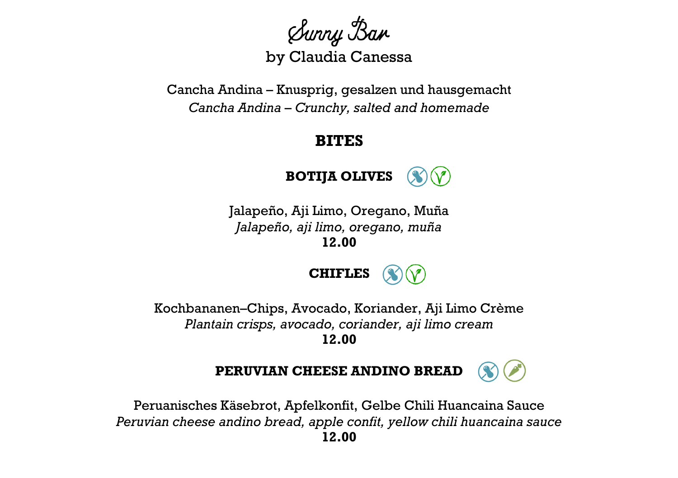Sunny Ban by Claudia Canessa

Cancha Andina – Knusprig, gesalzen und hausgemacht *Cancha Andina* – *Crunchy, salted and homemade*

## **BITES**



Jalapeño, Aji Limo, Oregano, Muña *Jalapeño, aji limo, oregano, muña* **12.00**



Kochbananen–Chips, Avocado, Koriander, Aji Limo Crème *Plantain crisps, avocado, coriander, aji limo cream* **12.00**



Peruanisches Käsebrot, Apfelkonfit, Gelbe Chili Huancaina Sauce *Peruvian cheese andino bread, apple confit, yellow chili huancaina sauce* **12.00**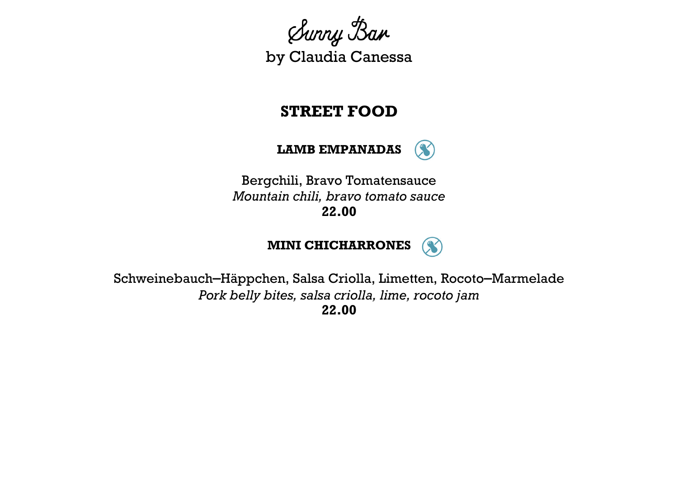Sunny Ban by Claudia Canessa

## **STREET FOOD**

**LAMB EMPANADAS**

 $\infty$ 

Bergchili, Bravo Tomatensauce *Mountain chili, bravo tomato sauce* **22.00**



Schweinebauch–Häppchen, Salsa Criolla, Limetten, Rocoto–Marmelade *Pork belly bites, salsa criolla, lime, rocoto jam* **22.00**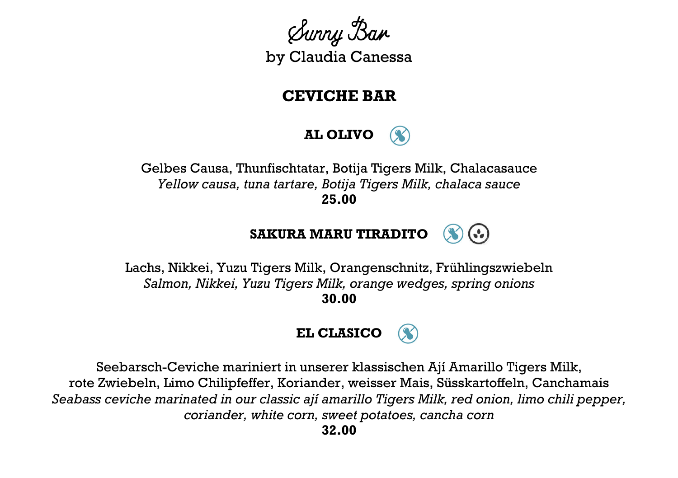Sunny Ban by Claudia Canessa

## **CEVICHE BAR**



Gelbes Causa, Thunfischtatar, Botija Tigers Milk, Chalacasauce *Yellow causa, tuna tartare, Botija Tigers Milk, chalaca sauce* **25.00**



Lachs, Nikkei, Yuzu Tigers Milk, Orangenschnitz, Frühlingszwiebeln *Salmon, Nikkei, Yuzu Tigers Milk, orange wedges, spring onions* **30.00**



Seebarsch-Ceviche mariniert in unserer klassischen Ají Amarillo Tigers Milk, rote Zwiebeln, Limo Chilipfeffer, Koriander, weisser Mais, Süsskartoffeln, Canchamais *Seabass ceviche marinated in our classic ají amarillo Tigers Milk, red onion, limo chili pepper, coriander, white corn, sweet potatoes, cancha corn*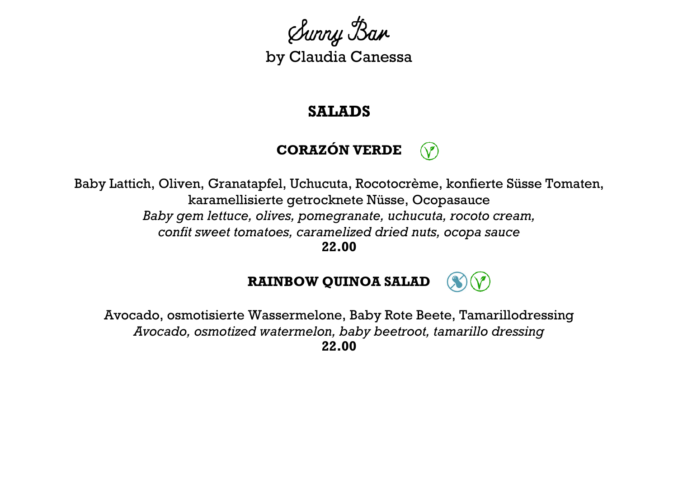

#### **SALADS**

# **CORAZÓN VERDE**

Baby Lattich, Oliven, Granatapfel, Uchucuta, Rocotocrème, konfierte Süsse Tomaten, karamellisierte getrocknete Nüsse, Ocopasauce *Baby gem lettuce, olives, pomegranate, uchucuta, rocoto cream, confit sweet tomatoes, caramelized dried nuts, ocopa sauce*

**22.00**



Avocado, osmotisierte Wassermelone, Baby Rote Beete, Tamarillodressing *Avocado, osmotized watermelon, baby beetroot, tamarillo dressing* **22.00**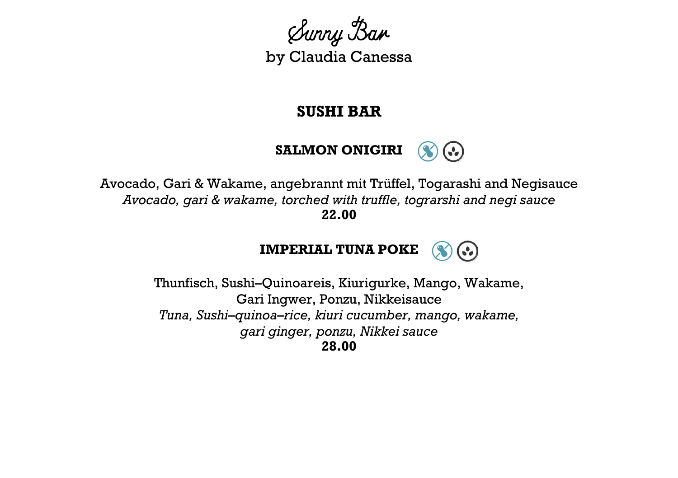

#### **SUSHI BAR**



Avocado, Gari & Wakame, angebrannt mit Trüffel, Togarashi and Negisauce *Avocado, gari & wakame, torched with truffle, tograrshi and negi sauce* **22.00**



Thunfisch, Sushi–Quinoareis, Kiurigurke, Mango, Wakame, Gari Ingwer, Ponzu, Nikkeisauce *Tuna, Sushi*–*quinoa*–*rice, kiuri cucumber, mango, wakame, gari ginger, ponzu, Nikkei sauce* **28.00**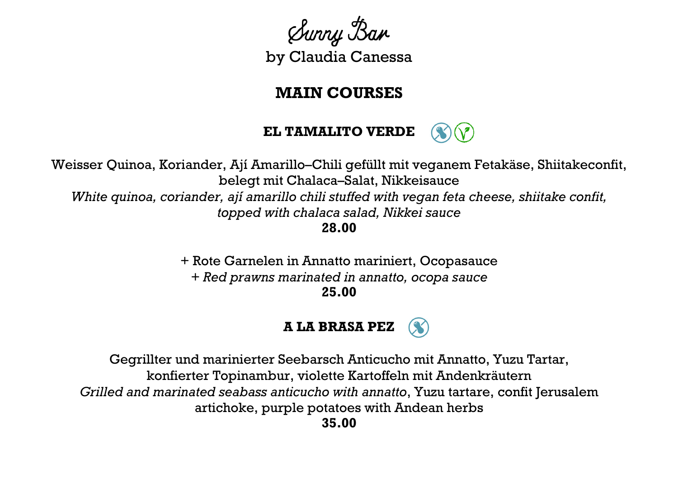Sunny Ban by Claudia Canessa

## **MAIN COURSES**

**EL TAMALITO VERDE**

Weisser Quinoa, Koriander, Ají Amarillo–Chili gefüllt mit veganem Fetakäse, Shiitakeconfit, belegt mit Chalaca–Salat, Nikkeisauce *White quinoa, coriander, ají amarillo chili stuffed with vegan feta cheese, shiitake confit, topped with chalaca salad, Nikkei sauce* **28.00**

> + Rote Garnelen in Annatto mariniert, Ocopasauce *+ Red prawns marinated in annatto, ocopa sauce* **25.00**



Gegrillter und marinierter Seebarsch Anticucho mit Annatto, Yuzu Tartar, konfierter Topinambur, violette Kartoffeln mit Andenkräutern *Grilled and marinated seabass anticucho with annatto*, Yuzu tartare, confit Jerusalem artichoke, purple potatoes with Andean herbs **35.00**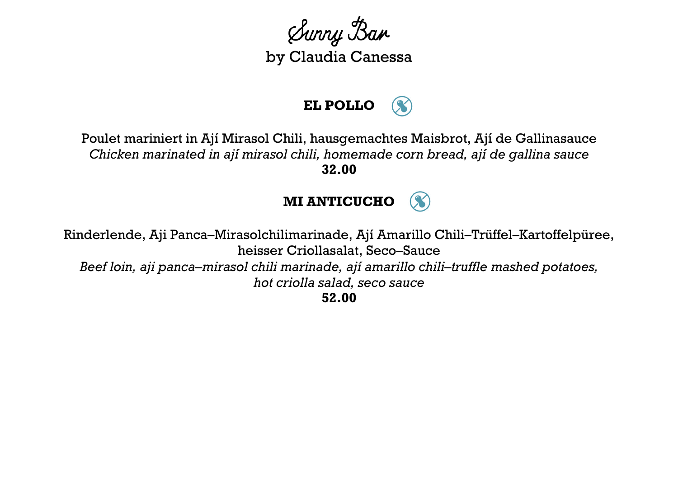Sunny Ban by Claudia Canessa

# **EL POLLO**

Poulet mariniert in Ají Mirasol Chili, hausgemachtes Maisbrot, Ají de Gallinasauce *Chicken marinated in ají mirasol chili, homemade corn bread, ají de gallina sauce* **32.00**

## **MI ANTICUCHO**

Rinderlende, Aji Panca–Mirasolchilimarinade, Ají Amarillo Chili–Trüffel–Kartoffelpüree, heisser Criollasalat, Seco–Sauce *Beef loin, aji panca–mirasol chili marinade, ají amarillo chili–truffle mashed potatoes, hot criolla salad, seco sauce* **52.00**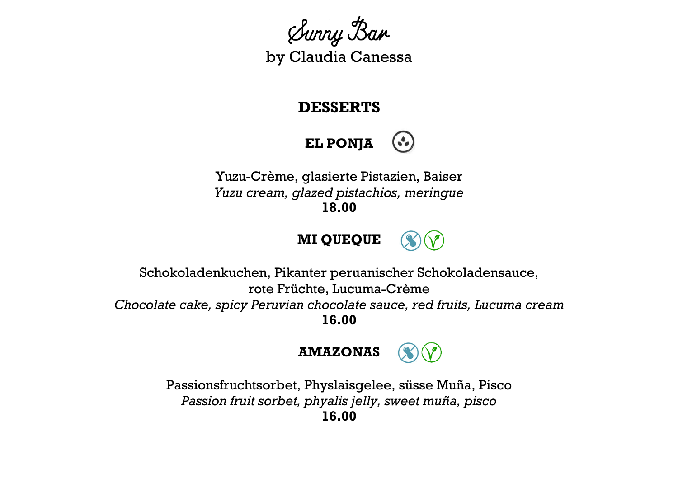Sunny Ban by Claudia Canessa

## **DESSERTS**



Yuzu-Crème, glasierte Pistazien, Baiser *Yuzu cream, glazed pistachios, meringue* **18.00**





**16.00**



Passionsfruchtsorbet, Physlaisgelee, süsse Muña, Pisco *Passion fruit sorbet, phyalis jelly, sweet muña, pisco* **16.00**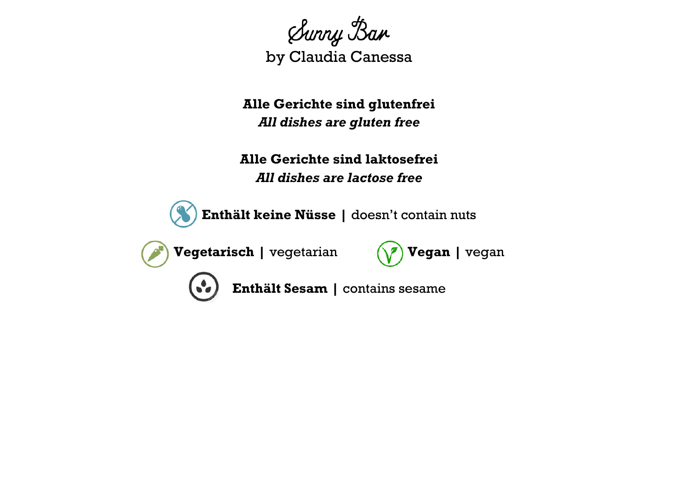

**Alle Gerichte sind glutenfrei** *All dishes are gluten free*

**Alle Gerichte sind laktosefrei** *All dishes are lactose free* 

**Enthält keine Nüsse |** doesn't contain nuts

**Vegetarisch** | vegetarian  $(\sqrt{7})$  **Vegan** | vegan

**Enthält Sesam |** contains sesame